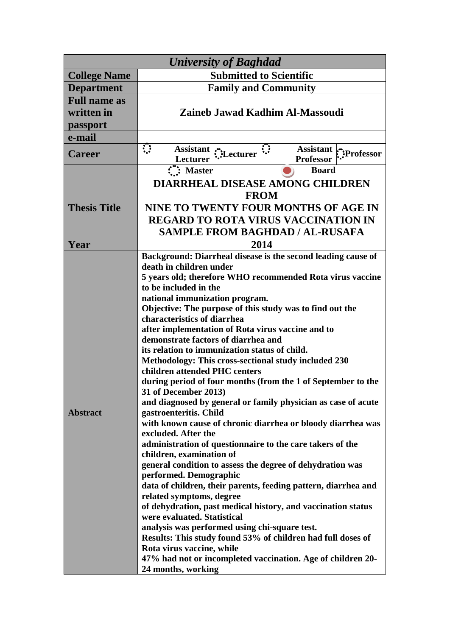| <b>University of Baghdad</b>                  |                                                                                                                                                                                                                                                                                                                                                                                                                                                                                                                                                                                                                                                                                                                                                                                                                                                                                                                                                                                                                                                                                                                                                                                                                                                                                                                                                                                                                                                  |  |
|-----------------------------------------------|--------------------------------------------------------------------------------------------------------------------------------------------------------------------------------------------------------------------------------------------------------------------------------------------------------------------------------------------------------------------------------------------------------------------------------------------------------------------------------------------------------------------------------------------------------------------------------------------------------------------------------------------------------------------------------------------------------------------------------------------------------------------------------------------------------------------------------------------------------------------------------------------------------------------------------------------------------------------------------------------------------------------------------------------------------------------------------------------------------------------------------------------------------------------------------------------------------------------------------------------------------------------------------------------------------------------------------------------------------------------------------------------------------------------------------------------------|--|
| <b>College Name</b>                           | <b>Submitted to Scientific</b>                                                                                                                                                                                                                                                                                                                                                                                                                                                                                                                                                                                                                                                                                                                                                                                                                                                                                                                                                                                                                                                                                                                                                                                                                                                                                                                                                                                                                   |  |
| <b>Department</b>                             | <b>Family and Community</b>                                                                                                                                                                                                                                                                                                                                                                                                                                                                                                                                                                                                                                                                                                                                                                                                                                                                                                                                                                                                                                                                                                                                                                                                                                                                                                                                                                                                                      |  |
| <b>Full name as</b><br>written in<br>passport | Zaineb Jawad Kadhim Al-Massoudi                                                                                                                                                                                                                                                                                                                                                                                                                                                                                                                                                                                                                                                                                                                                                                                                                                                                                                                                                                                                                                                                                                                                                                                                                                                                                                                                                                                                                  |  |
| e-mail                                        |                                                                                                                                                                                                                                                                                                                                                                                                                                                                                                                                                                                                                                                                                                                                                                                                                                                                                                                                                                                                                                                                                                                                                                                                                                                                                                                                                                                                                                                  |  |
| <b>Career</b>                                 | $\ddot{\phantom{a}}$<br>Assistant :-<br>Lecturer<br>Assistant :":Professor<br><b>Lecturer</b><br><b>Professor</b>                                                                                                                                                                                                                                                                                                                                                                                                                                                                                                                                                                                                                                                                                                                                                                                                                                                                                                                                                                                                                                                                                                                                                                                                                                                                                                                                |  |
|                                               | $\overline{\mathbf{H}}$ : Master<br><b>Board</b>                                                                                                                                                                                                                                                                                                                                                                                                                                                                                                                                                                                                                                                                                                                                                                                                                                                                                                                                                                                                                                                                                                                                                                                                                                                                                                                                                                                                 |  |
| <b>Thesis Title</b>                           | DIARRHEAL DISEASE AMONG CHILDREN<br><b>FROM</b><br>NINE TO TWENTY FOUR MONTHS OF AGE IN<br><b>REGARD TO ROTA VIRUS VACCINATION IN</b><br><b>SAMPLE FROM BAGHDAD / AL-RUSAFA</b>                                                                                                                                                                                                                                                                                                                                                                                                                                                                                                                                                                                                                                                                                                                                                                                                                                                                                                                                                                                                                                                                                                                                                                                                                                                                  |  |
| Year                                          | 2014                                                                                                                                                                                                                                                                                                                                                                                                                                                                                                                                                                                                                                                                                                                                                                                                                                                                                                                                                                                                                                                                                                                                                                                                                                                                                                                                                                                                                                             |  |
| <b>Abstract</b>                               | Background: Diarrheal disease is the second leading cause of<br>death in children under<br>5 years old; therefore WHO recommended Rota virus vaccine<br>to be included in the<br>national immunization program.<br>Objective: The purpose of this study was to find out the<br>characteristics of diarrhea<br>after implementation of Rota virus vaccine and to<br>demonstrate factors of diarrhea and<br>its relation to immunization status of child.<br>Methodology: This cross-sectional study included 230<br>children attended PHC centers<br>during period of four months (from the 1 of September to the<br><b>31 of December 2013</b> )<br>and diagnosed by general or family physician as case of acute<br>gastroenteritis. Child<br>with known cause of chronic diarrhea or bloody diarrhea was<br>excluded. After the<br>administration of questionnaire to the care takers of the<br>children, examination of<br>general condition to assess the degree of dehydration was<br>performed. Demographic<br>data of children, their parents, feeding pattern, diarrhea and<br>related symptoms, degree<br>of dehydration, past medical history, and vaccination status<br>were evaluated. Statistical<br>analysis was performed using chi-square test.<br>Results: This study found 53% of children had full doses of<br>Rota virus vaccine, while<br>47% had not or incompleted vaccination. Age of children 20-<br>24 months, working |  |